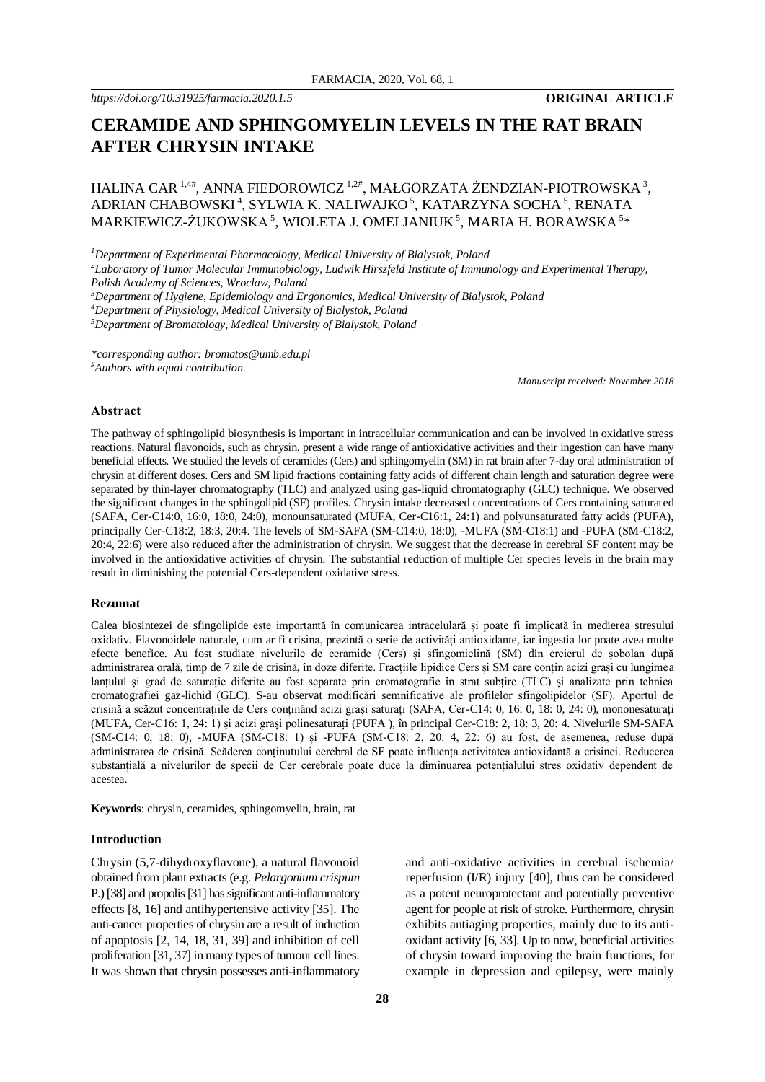# **CERAMIDE AND SPHINGOMYELIN LEVELS IN THE RAT BRAIN AFTER CHRYSIN INTAKE**

# HALINA CAR  $^{1,4\#}$ , ANNA FIEDOROWICZ  $^{1,2\#}$ , MAŁGORZATA ŻENDZIAN-PIOTROWSKA $^3$ , ADRIAN CHABOWSKI<sup>4</sup>, SYLWIA K. NALIWAJKO<sup>5</sup>, KATARZYNA SOCHA<sup>5</sup>, RENATA  $\mathsf{MARKIEWICZ\text{-}\mathsf{ZUKOWSKA\,^5, WIOLETA\,J. OMELIANIUK\,^5, MARIA\,H. BORAWSKA\,^{5}\ast}$

*<sup>1</sup>Department of Experimental Pharmacology, Medical University of Bialystok, Poland*

*<sup>2</sup>Laboratory of Tumor Molecular Immunobiology, Ludwik Hirszfeld Institute of Immunology and Experimental Therapy, Polish Academy of Sciences, Wroclaw, Poland*

*<sup>3</sup>Department of Hygiene, Epidemiology and Ergonomics, Medical University of Bialystok, Poland* 

*<sup>4</sup>Department of Physiology, Medical University of Bialystok, Poland* 

*<sup>5</sup>Department of Bromatology, Medical University of Bialystok, Poland*

*\*corresponding author: bromatos@umb.edu.pl #Authors with equal contribution.*

*Manuscript received: November 2018*

#### **Abstract**

The pathway of sphingolipid biosynthesis is important in intracellular communication and can be involved in oxidative stress reactions. Natural flavonoids, such as chrysin, present a wide range of antioxidative activities and their ingestion can have many beneficial effects. We studied the levels of ceramides (Cers) and sphingomyelin (SM) in rat brain after 7-day oral administration of chrysin at different doses. Cers and SM lipid fractions containing fatty acids of different chain length and saturation degree were separated by thin-layer chromatography (TLC) and analyzed using gas-liquid chromatography (GLC) technique. We observed the significant changes in the sphingolipid (SF) profiles. Chrysin intake decreased concentrations of Cers containing saturated (SAFA, Cer-C14:0, 16:0, 18:0, 24:0), monounsaturated (MUFA, Cer-C16:1, 24:1) and polyunsaturated fatty acids (PUFA), principally Cer-C18:2, 18:3, 20:4. The levels of SM-SAFA (SM-C14:0, 18:0), -MUFA (SM-C18:1) and -PUFA (SM-C18:2, 20:4, 22:6) were also reduced after the administration of chrysin. We suggest that the decrease in cerebral SF content may be involved in the antioxidative activities of chrysin. The substantial reduction of multiple Cer species levels in the brain may result in diminishing the potential Cers-dependent oxidative stress.

#### **Rezumat**

Calea biosintezei de sfingolipide este importantă în comunicarea intracelulară și poate fi implicată în medierea stresului oxidativ. Flavonoidele naturale, cum ar fi crisina, prezintă o serie de activități antioxidante, iar ingestia lor poate avea multe efecte benefice. Au fost studiate nivelurile de ceramide (Cers) și sfingomielină (SM) din creierul de șobolan după administrarea orală, timp de 7 zile de crisină, în doze diferite. Fracțiile lipidice Cers și SM care conțin acizi grași cu lungimea lanțului și grad de saturație diferite au fost separate prin cromatografie în strat subțire (TLC) și analizate prin tehnica cromatografiei gaz-lichid (GLC). S-au observat modificări semnificative ale profilelor sfingolipidelor (SF). Aportul de crisină a scăzut concentrațiile de Cers conținând acizi grași saturați (SAFA, Cer-C14: 0, 16: 0, 18: 0, 24: 0), mononesaturați (MUFA, Cer-C16: 1, 24: 1) și acizi grași polinesaturați (PUFA ), în principal Cer-C18: 2, 18: 3, 20: 4. Nivelurile SM-SAFA (SM-C14: 0, 18: 0), -MUFA (SM-C18: 1) și -PUFA (SM-C18: 2, 20: 4, 22: 6) au fost, de asemenea, reduse după administrarea de crisină. Scăderea conținutului cerebral de SF poate influența activitatea antioxidantă a crisinei. Reducerea substanțială a nivelurilor de specii de Cer cerebrale poate duce la diminuarea potențialului stres oxidativ dependent de acestea.

**Keywords**: chrysin, ceramides, sphingomyelin, brain, rat

#### **Introduction**

Chrysin (5,7-dihydroxyflavone), a natural flavonoid obtained from plant extracts (e.g. *Pelargonium crispum* P.) [38] and propolis [31] has significant anti-inflammatory effects [8, 16] and antihypertensive activity [35]. The anti-cancer properties of chrysin are a result of induction of apoptosis [2, 14, 18, 31, 39] and inhibition of cell proliferation [31, 37] in many types of tumour cell lines. It was shown that chrysin possesses anti-inflammatory

and anti-oxidative activities in cerebral ischemia/ reperfusion (I/R) injury [40], thus can be considered as a potent neuroprotectant and potentially preventive agent for people at risk of stroke. Furthermore, chrysin exhibits antiaging properties, mainly due to its antioxidant activity [6, 33]. Up to now, beneficial activities of chrysin toward improving the brain functions, for example in depression and epilepsy, were mainly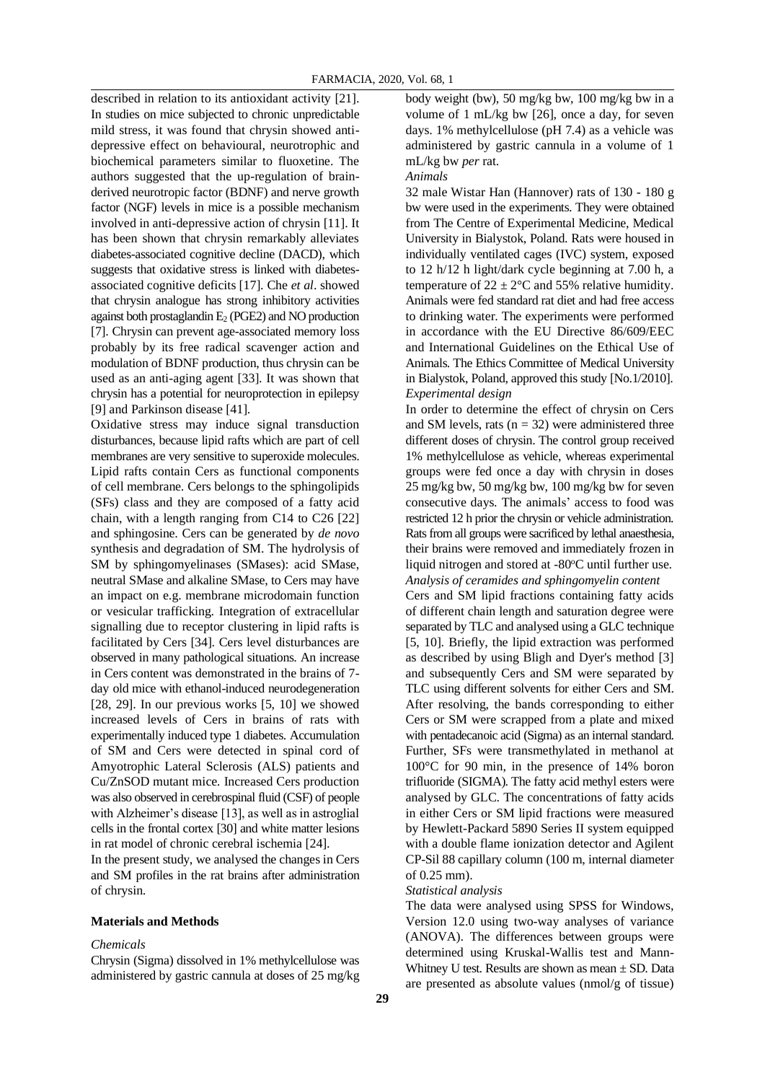described in relation to its antioxidant activity [21]. In studies on mice subjected to chronic unpredictable mild stress, it was found that chrysin showed antidepressive effect on behavioural, neurotrophic and biochemical parameters similar to fluoxetine. The authors suggested that the up-regulation of brainderived neurotropic factor (BDNF) and nerve growth factor (NGF) levels in mice is a possible mechanism involved in anti-depressive action of chrysin [11]. It has been shown that chrysin remarkably alleviates diabetes-associated cognitive decline (DACD), which suggests that oxidative stress is linked with diabetesassociated cognitive deficits [17]. Che *et al*. showed that chrysin analogue has strong inhibitory activities against both prostaglandin  $E_2$  (PGE2) and NO production [7]. Chrysin can prevent age-associated memory loss probably by its free radical scavenger action and modulation of BDNF production, thus chrysin can be used as an anti-aging agent [33]. It was shown that chrysin has a potential for neuroprotection in epilepsy [9] and Parkinson disease [41].

Oxidative stress may induce signal transduction disturbances, because lipid rafts which are part of cell membranes are very sensitive to superoxide molecules. Lipid rafts contain Cers as functional components of cell membrane. Cers belongs to the sphingolipids (SFs) class and they are composed of a fatty acid chain, with a length ranging from C14 to C26 [22] and sphingosine. Cers can be generated by *de novo* synthesis and degradation of SM. The hydrolysis of SM by sphingomyelinases (SMases): acid SMase, neutral SMase and alkaline SMase, to Cers may have an impact on e.g. membrane microdomain function or vesicular trafficking. Integration of extracellular signalling due to receptor clustering in lipid rafts is facilitated by Cers [34]. Cers level disturbances are observed in many pathological situations. An increase in Cers content was demonstrated in the brains of 7 day old mice with ethanol-induced neurodegeneration [28, 29]. In our previous works [5, 10] we showed increased levels of Cers in brains of rats with experimentally induced type 1 diabetes. Accumulation of SM and Cers were detected in spinal cord of Amyotrophic Lateral Sclerosis (ALS) patients and Cu/ZnSOD mutant mice. Increased Cers production was also observed in cerebrospinal fluid (CSF) of people with Alzheimer's disease [13], as well as in astroglial cells in the frontal cortex [30] and white matter lesions in rat model of chronic cerebral ischemia [24].

In the present study, we analysed the changes in Cers and SM profiles in the rat brains after administration of chrysin.

# **Materials and Methods**

#### *Chemicals*

Chrysin (Sigma) dissolved in 1% methylcellulose was administered by gastric cannula at doses of 25 mg/kg body weight (bw), 50 mg/kg bw, 100 mg/kg bw in a volume of 1 mL/kg bw [26], once a day, for seven days. 1% methylcellulose (pH 7.4) as a vehicle was administered by gastric cannula in a volume of 1 mL/kg bw *per* rat.

*Animals*

32 male Wistar Han (Hannover) rats of 130 - 180 g bw were used in the experiments. They were obtained from The Centre of Experimental Medicine, Medical University in Bialystok, Poland. Rats were housed in individually ventilated cages (IVC) system, exposed to 12 h/12 h light/dark cycle beginning at 7.00 h, a temperature of  $22 \pm 2$ °C and 55% relative humidity. Animals were fed standard rat diet and had free access to drinking water. The experiments were performed in accordance with the EU Directive 86/609/EEC and International Guidelines on the Ethical Use of Animals. The Ethics Committee of Medical University in Bialystok, Poland, approved this study [No.1/2010]. *Experimental design*

In order to determine the effect of chrysin on Cers and SM levels, rats  $(n = 32)$  were administered three different doses of chrysin. The control group received 1% methylcellulose as vehicle, whereas experimental groups were fed once a day with chrysin in doses 25 mg/kg bw, 50 mg/kg bw, 100 mg/kg bw for seven consecutive days. The animals' access to food was restricted 12 h prior the chrysin or vehicle administration. Rats from all groups were sacrificed by lethal anaesthesia, their brains were removed and immediately frozen in liquid nitrogen and stored at -80°C until further use. *Analysis of ceramides and sphingomyelin content*

Cers and SM lipid fractions containing fatty acids of different chain length and saturation degree were separated by TLC and analysed using a GLC technique [5, 10]. Briefly, the lipid extraction was performed as described by using Bligh and Dyer's method [3] and subsequently Cers and SM were separated by TLC using different solvents for either Cers and SM. After resolving, the bands corresponding to either Cers or SM were scrapped from a plate and mixed with pentadecanoic acid (Sigma) as an internal standard. Further, SFs were transmethylated in methanol at 100°C for 90 min, in the presence of 14% boron trifluoride (SIGMA). The fatty acid methyl esters were analysed by GLC. The concentrations of fatty acids in either Cers or SM lipid fractions were measured by Hewlett-Packard 5890 Series II system equipped with a double flame ionization detector and Agilent CP-Sil 88 capillary column (100 m, internal diameter of 0.25 mm).

#### *Statistical analysis*

The data were analysed using SPSS for Windows, Version 12.0 using two-way analyses of variance (ANOVA). The differences between groups were determined using Kruskal-Wallis test and Mann-Whitney U test. Results are shown as mean  $\pm$  SD. Data are presented as absolute values (nmol/g of tissue)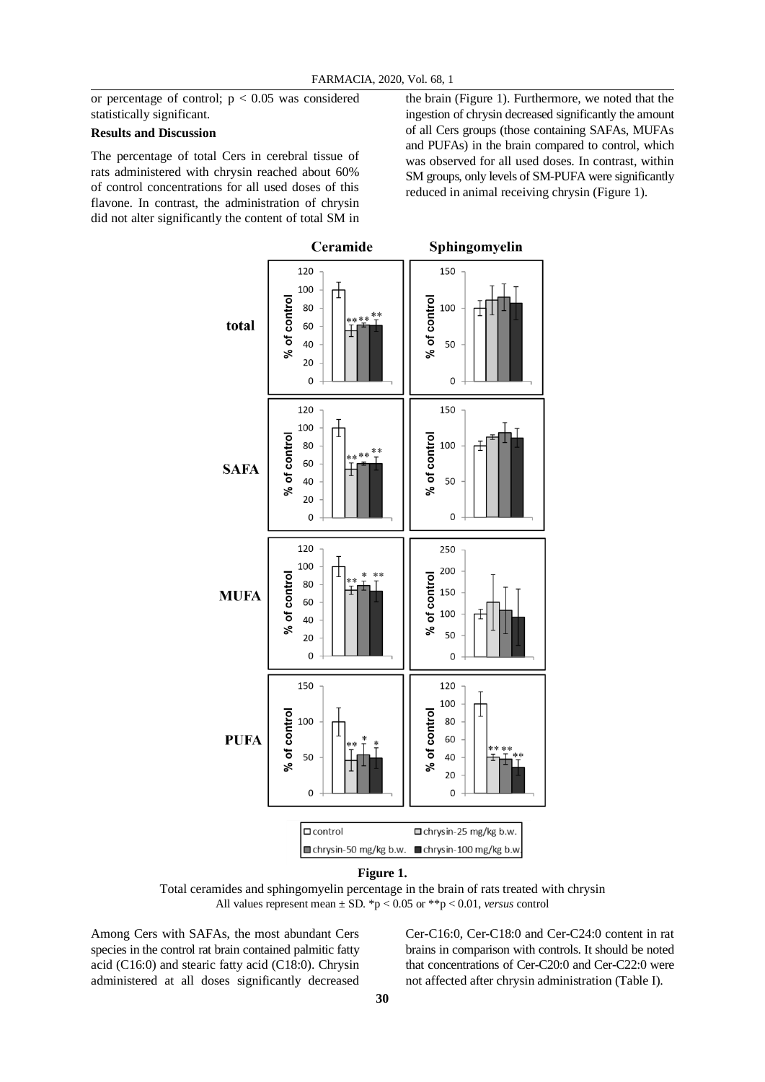or percentage of control;  $p < 0.05$  was considered statistically significant.

# **Results and Discussion**

The percentage of total Cers in cerebral tissue of rats administered with chrysin reached about 60% of control concentrations for all used doses of this flavone. In contrast, the administration of chrysin did not alter significantly the content of total SM in

the brain (Figure 1). Furthermore, we noted that the ingestion of chrysin decreased significantly the amount of all Cers groups (those containing SAFAs, MUFAs and PUFAs) in the brain compared to control, which was observed for all used doses. In contrast, within SM groups, only levels of SM-PUFA were significantly reduced in animal receiving chrysin (Figure 1).



#### **Figure 1.**

Total ceramides and sphingomyelin percentage in the brain of rats treated with chrysin All values represent mean ± SD. \*p < 0.05 or \*\*p < 0.01, *versus* control

Among Cers with SAFAs, the most abundant Cers species in the control rat brain contained palmitic fatty acid (C16:0) and stearic fatty acid (C18:0). Chrysin administered at all doses significantly decreased

Cer-C16:0, Cer-C18:0 and Cer-C24:0 content in rat brains in comparison with controls. It should be noted that concentrations of Cer-C20:0 and Cer-C22:0 were not affected after chrysin administration (Table I).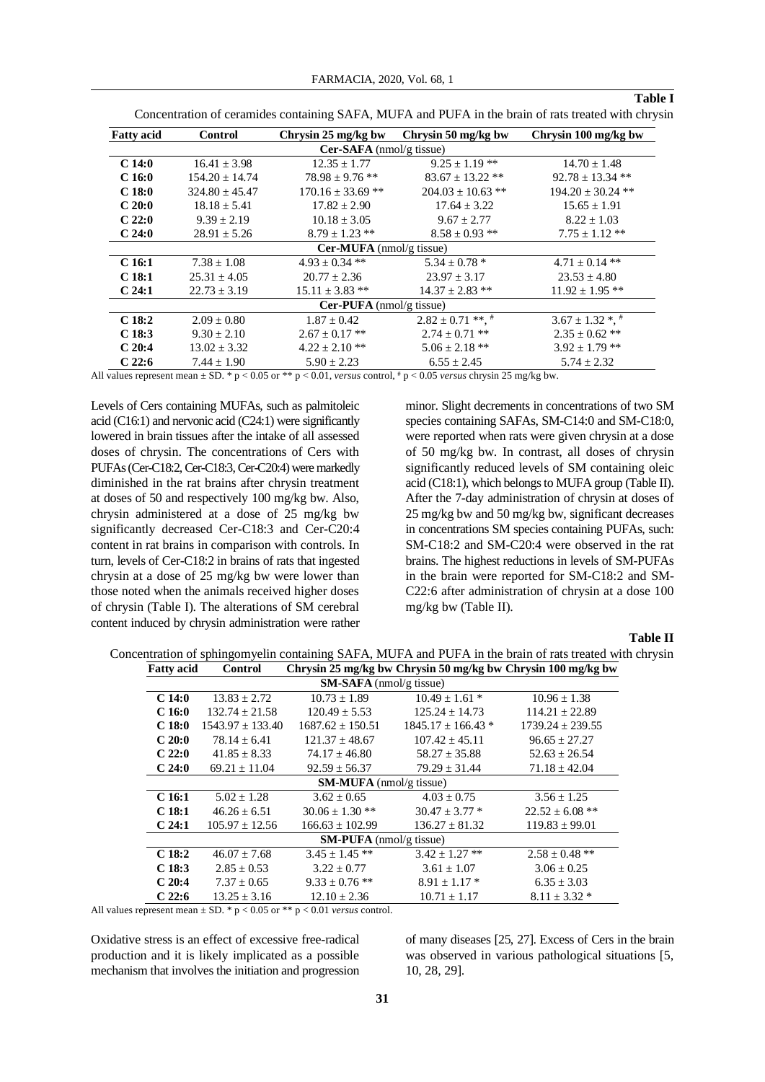**Table I**

| <b>Fatty acid</b>               | <b>Control</b>     | Chrysin 25 mg/kg bw   | Chrysin 50 mg/kg bw   | Chrysin 100 mg/kg bw  |  |  |
|---------------------------------|--------------------|-----------------------|-----------------------|-----------------------|--|--|
| $Cer-SAFA$ (nmol/g tissue)      |                    |                       |                       |                       |  |  |
| C <sub>14:0</sub>               | $16.41 \pm 3.98$   | $12.35 \pm 1.77$      | $9.25 \pm 1.19$ **    | $14.70 \pm 1.48$      |  |  |
| C <sub>16:0</sub>               | $154.20 \pm 14.74$ | $78.98 \pm 9.76$ **   | $83.67 \pm 13.22$ **  | $92.78 \pm 13.34$ **  |  |  |
| C <sub>18:0</sub>               | $324.80 \pm 45.47$ | $170.16 \pm 33.69$ ** | $204.03 \pm 10.63$ ** | $194.20 \pm 30.24$ ** |  |  |
| $C_20:0$                        | $18.18 \pm 5.41$   | $17.82 \pm 2.90$      | $17.64 \pm 3.22$      | $15.65 \pm 1.91$      |  |  |
| $C_22:0$                        | $9.39 \pm 2.19$    | $10.18 \pm 3.05$      | $9.67 \pm 2.77$       | $8.22 \pm 1.03$       |  |  |
| C <sub>24:0</sub>               | $28.91 \pm 5.26$   | $8.79 \pm 1.23$ **    | $8.58 \pm 0.93$ **    | $7.75 \pm 1.12$ **    |  |  |
| $Cer-MUFA$ (nmol/g tissue)      |                    |                       |                       |                       |  |  |
| C <sub>16:1</sub>               | $7.38 \pm 1.08$    | $4.93 \pm 0.34$ **    | $5.34 \pm 0.78$ *     | $4.71 \pm 0.14$ **    |  |  |
| C <sub>18:1</sub>               | $25.31 \pm 4.05$   | $20.77 \pm 2.36$      | $23.97 \pm 3.17$      | $23.53 \pm 4.80$      |  |  |
| C <sub>24:1</sub>               | $22.73 \pm 3.19$   | $15.11 \pm 3.83$ **   | $14.37 \pm 2.83$ **   | $11.92 \pm 1.95$ **   |  |  |
| <b>Cer-PUFA</b> (nmol/g tissue) |                    |                       |                       |                       |  |  |
| C <sub>18:2</sub>               | $2.09 \pm 0.80$    | $1.87 \pm 0.42$       | $2.82 \pm 0.71$ **, * | $3.67 \pm 1.32$ *, *  |  |  |
| C <sub>18:3</sub>               | $9.30 \pm 2.10$    | $2.67 \pm 0.17$ **    | $2.74 \pm 0.71$ **    | $2.35 \pm 0.62$ **    |  |  |
| C20:4                           | $13.02 \pm 3.32$   | $4.22 \pm 2.10$ **    | $5.06 \pm 2.18$ **    | $3.92 \pm 1.79$ **    |  |  |
| C22:6                           | $7.44 \pm 1.90$    | $5.90 \pm 2.23$       | $6.55 \pm 2.45$       | $5.74 \pm 2.32$       |  |  |

Concentration of ceramides containing SAFA, MUFA and PUFA in the brain of rats treated with chrysin

All values represent mean  $\pm$  SD. \* p < 0.05 or \*\* p < 0.01, *versus* control, \* p < 0.05 *versus* chrysin 25 mg/kg bw.

Levels of Cers containing MUFAs, such as palmitoleic acid (C16:1) and nervonic acid (C24:1) were significantly lowered in brain tissues after the intake of all assessed doses of chrysin. The concentrations of Cers with PUFAs (Cer-C18:2, Cer-C18:3, Cer-C20:4) were markedly diminished in the rat brains after chrysin treatment at doses of 50 and respectively 100 mg/kg bw. Also, chrysin administered at a dose of 25 mg/kg bw significantly decreased Cer-C18:3 and Cer-C20:4 content in rat brains in comparison with controls. In turn, levels of Cer-C18:2 in brains of rats that ingested chrysin at a dose of 25 mg/kg bw were lower than those noted when the animals received higher doses of chrysin (Table I). The alterations of SM cerebral content induced by chrysin administration were rather minor. Slight decrements in concentrations of two SM species containing SAFAs, SM-C14:0 and SM-C18:0, were reported when rats were given chrysin at a dose of 50 mg/kg bw. In contrast, all doses of chrysin significantly reduced levels of SM containing oleic acid (C18:1), which belongs to MUFA group (Table II). After the 7-day administration of chrysin at doses of 25 mg/kg bw and 50 mg/kg bw, significant decreases in concentrations SM species containing PUFAs, such: SM-C18:2 and SM-C20:4 were observed in the rat brains. The highest reductions in levels of SM-PUFAs in the brain were reported for SM-C18:2 and SM-C22:6 after administration of chrysin at a dose 100 mg/kg bw (Table II).

### **Table II**

| <b>Fatty</b> acid              | Control              | Chrysin 25 mg/kg bw Chrysin 50 mg/kg bw Chrysin 100 mg/kg bw |                        |                      |  |  |
|--------------------------------|----------------------|--------------------------------------------------------------|------------------------|----------------------|--|--|
| $SM-SAFA$ (nmol/g tissue)      |                      |                                                              |                        |                      |  |  |
| C <sub>14:0</sub>              | $13.83 + 2.72$       | $10.73 + 1.89$                                               | $10.49 + 1.61$ *       | $10.96 \pm 1.38$     |  |  |
| C <sub>16:0</sub>              | $132.74 + 21.58$     | $120.49 \pm 5.53$                                            | $125.24 \pm 14.73$     | $114.21 \pm 22.89$   |  |  |
| C <sub>18:0</sub>              | $1543.97 \pm 133.40$ | $1687.62 \pm 150.51$                                         | $1845.17 \pm 166.43$ * | $1739.24 \pm 239.55$ |  |  |
| $C_20:0$                       | $78.14 \pm 6.41$     | $121.37 \pm 48.67$                                           | $107.42 \pm 45.11$     | $96.65 \pm 27.27$    |  |  |
| C22:0                          | $41.85 + 8.33$       | $74.17 + 46.80$                                              | $58.27 + 35.88$        | $52.63 \pm 26.54$    |  |  |
| C <sub>24:0</sub>              | $69.21 \pm 11.04$    | $92.59 \pm 56.37$                                            | $79.29 \pm 31.44$      | $71.18 \pm 42.04$    |  |  |
| $SM-MUFA$ (nmol/g tissue)      |                      |                                                              |                        |                      |  |  |
| C <sub>16:1</sub>              | $5.02 \pm 1.28$      | $3.62 \pm 0.65$                                              | $4.03 \pm 0.75$        | $3.56 \pm 1.25$      |  |  |
| C <sub>18:1</sub>              | $46.26 \pm 6.51$     | $30.06 \pm 1.30$ **                                          | $30.47 \pm 3.77$ *     | $22.52 \pm 6.08$ **  |  |  |
| C <sub>24:1</sub>              | $105.97 \pm 12.56$   | $166.63 \pm 102.99$                                          | $136.27 \pm 81.32$     | $119.83 \pm 99.01$   |  |  |
| <b>SM-PUFA</b> (nmol/g tissue) |                      |                                                              |                        |                      |  |  |
| C <sub>18:2</sub>              | $46.07 \pm 7.68$     | $3.45 \pm 1.45$ **                                           | $3.42 \pm 1.27$ **     | $2.58 \pm 0.48$ **   |  |  |
| C <sub>18:3</sub>              | $2.85 \pm 0.53$      | $3.22 \pm 0.77$                                              | $3.61 \pm 1.07$        | $3.06 \pm 0.25$      |  |  |
| C20:4                          | $7.37 \pm 0.65$      | $9.33 \pm 0.76$ **                                           | $8.91 \pm 1.17$ *      | $6.35 \pm 3.03$      |  |  |
| C22:6                          | $13.25 \pm 3.16$     | $12.10 \pm 2.36$                                             | $10.71 \pm 1.17$       | $8.11 \pm 3.32$ *    |  |  |

Concentration of sphingomyelin containing SAFA, MUFA and PUFA in the brain of rats treated with chrysin **Fatty acid Control Chrysin 25 mg/kg bw Chrysin 50 mg/kg bw Chrysin 100 mg/kg bw**

All values represent mean  $\pm$  SD. \* p < 0.05 or \*\* p < 0.01 *versus* control.

Oxidative stress is an effect of excessive free-radical production and it is likely implicated as a possible mechanism that involves the initiation and progression of many diseases [25, 27]. Excess of Cers in the brain was observed in various pathological situations [5, 10, 28, 29].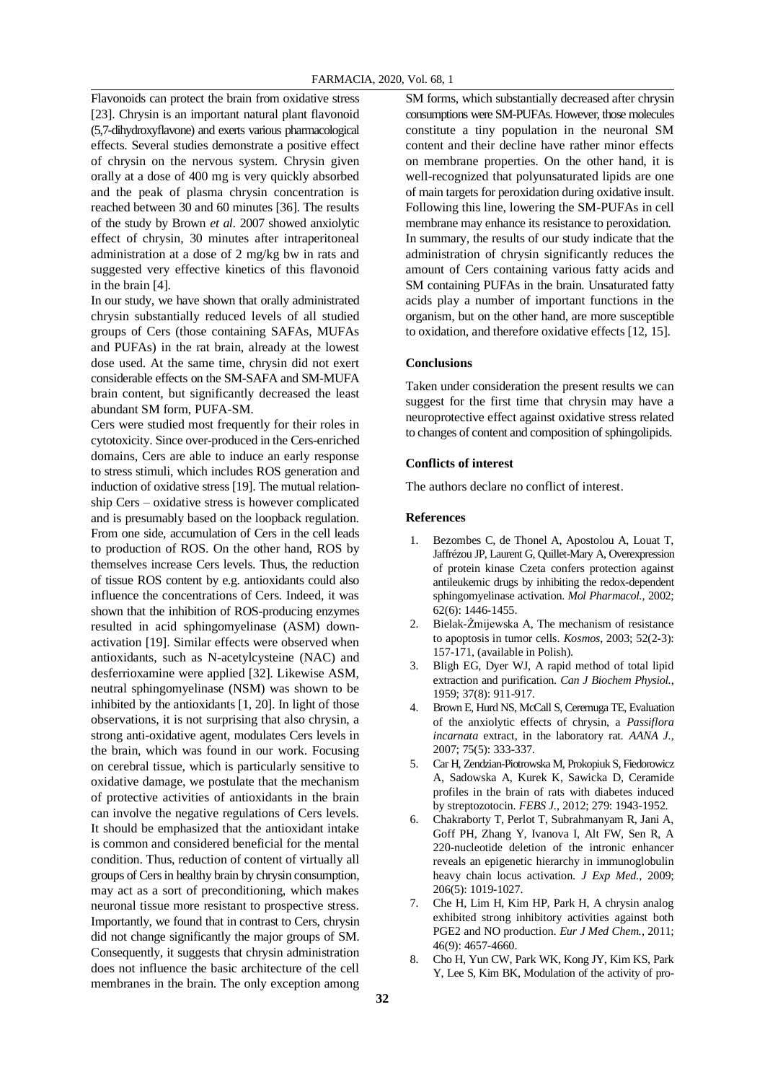Flavonoids can protect the brain from oxidative stress [23]. Chrysin is an important natural plant flavonoid (5,7-dihydroxyflavone) and exerts various pharmacological effects. Several studies demonstrate a positive effect of chrysin on the nervous system. Chrysin given orally at a dose of 400 mg is very quickly absorbed and the peak of plasma chrysin concentration is reached between 30 and 60 minutes [36]. The results of the study by Brown *et al*. 2007 showed anxiolytic effect of chrysin, 30 minutes after intraperitoneal administration at a dose of 2 mg/kg bw in rats and suggested very effective kinetics of this flavonoid in the brain [4].

In our study, we have shown that orally administrated chrysin substantially reduced levels of all studied groups of Cers (those containing SAFAs, MUFAs and PUFAs) in the rat brain, already at the lowest dose used. At the same time, chrysin did not exert considerable effects on the SM-SAFA and SM-MUFA brain content, but significantly decreased the least abundant SM form, PUFA-SM.

Cers were studied most frequently for their roles in cytotoxicity. Since over-produced in the Cers-enriched domains, Cers are able to induce an early response to stress stimuli, which includes ROS generation and induction of oxidative stress [19]. The mutual relationship Cers – oxidative stress is however complicated and is presumably based on the loopback regulation. From one side, accumulation of Cers in the cell leads to production of ROS. On the other hand, ROS by themselves increase Cers levels. Thus, the reduction of tissue ROS content by e.g. antioxidants could also influence the concentrations of Cers. Indeed, it was shown that the inhibition of ROS-producing enzymes resulted in acid sphingomyelinase (ASM) downactivation [19]. Similar effects were observed when antioxidants, such as N-acetylcysteine (NAC) and desferrioxamine were applied [32]. Likewise ASM, neutral sphingomyelinase (NSM) was shown to be inhibited by the antioxidants [1, 20]. In light of those observations, it is not surprising that also chrysin, a strong anti-oxidative agent, modulates Cers levels in the brain, which was found in our work. Focusing on cerebral tissue, which is particularly sensitive to oxidative damage, we postulate that the mechanism of protective activities of antioxidants in the brain can involve the negative regulations of Cers levels. It should be emphasized that the antioxidant intake is common and considered beneficial for the mental condition. Thus, reduction of content of virtually all groups of Cers in healthy brain by chrysin consumption, may act as a sort of preconditioning, which makes neuronal tissue more resistant to prospective stress. Importantly, we found that in contrast to Cers, chrysin did not change significantly the major groups of SM. Consequently, it suggests that chrysin administration does not influence the basic architecture of the cell membranes in the brain. The only exception among

SM forms, which substantially decreased after chrysin consumptions were SM-PUFAs. However, those molecules constitute a tiny population in the neuronal SM content and their decline have rather minor effects on membrane properties. On the other hand, it is well-recognized that polyunsaturated lipids are one of main targets for peroxidation during oxidative insult. Following this line, lowering the SM-PUFAs in cell membrane may enhance its resistance to peroxidation. In summary, the results of our study indicate that the administration of chrysin significantly reduces the amount of Cers containing various fatty acids and SM containing PUFAs in the brain. Unsaturated fatty acids play a number of important functions in the organism, but on the other hand, are more susceptible to oxidation, and therefore oxidative effects [12, 15].

# **Conclusions**

Taken under consideration the present results we can suggest for the first time that chrysin may have a neuroprotective effect against oxidative stress related to changes of content and composition of sphingolipids.

#### **Conflicts of interest**

The authors declare no conflict of interest.

#### **References**

- 1. Bezombes C, de Thonel A, Apostolou A, Louat T, Jaffrézou JP, Laurent G, Quillet-Mary A, Overexpression of protein kinase Czeta confers protection against antileukemic drugs by inhibiting the redox-dependent sphingomyelinase activation. *Mol Pharmacol.*, 2002; 62(6): 1446-1455.
- 2. Bielak-Żmijewska A, The mechanism of resistance to apoptosis in tumor cells. *Kosmos*, 2003; 52(2-3): 157-171, (available in Polish).
- 3. Bligh EG, Dyer WJ, A rapid method of total lipid extraction and purification. *Can J Biochem Physiol.*, 1959; 37(8): 911-917.
- 4. Brown E, Hurd NS, McCall S, Ceremuga TE, Evaluation of the anxiolytic effects of chrysin, a *Passiflora incarnata* extract, in the laboratory rat. *AANA J.*, 2007; 75(5): 333-337.
- 5. Car H, Zendzian-Piotrowska M, Prokopiuk S, Fiedorowicz A, Sadowska A, Kurek K, Sawicka D, Ceramide profiles in the brain of rats with diabetes induced by streptozotocin. *FEBS J.*, 2012; 279: 1943-1952.
- 6. Chakraborty T, Perlot T, Subrahmanyam R, Jani A, Goff PH, Zhang Y, Ivanova I, Alt FW, Sen R, A 220-nucleotide deletion of the intronic enhancer reveals an epigenetic hierarchy in immunoglobulin heavy chain locus activation. *J Exp Med.*, 2009; 206(5): 1019-1027.
- 7. Che H, Lim H, Kim HP, Park H, A chrysin analog exhibited strong inhibitory activities against both PGE2 and NO production. *Eur J Med Chem.*, 2011; 46(9): 4657-4660.
- 8. Cho H, Yun CW, Park WK, Kong JY, Kim KS, Park Y, Lee S, Kim BK, Modulation of the activity of pro-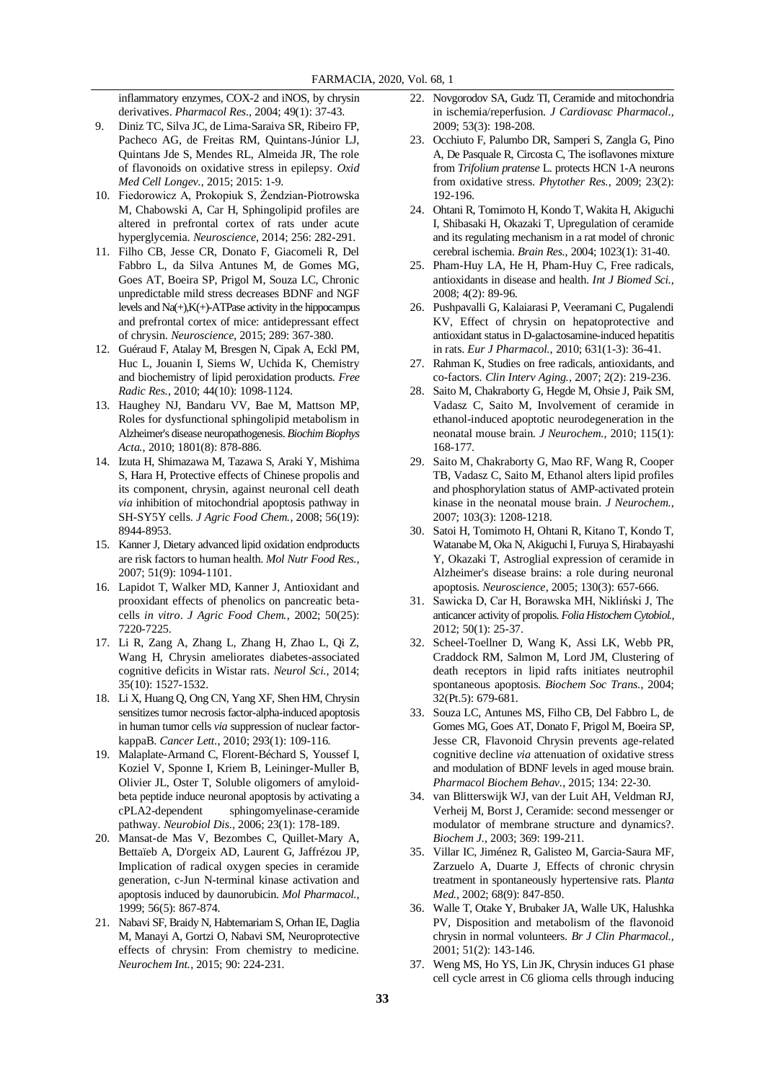inflammatory enzymes, COX-2 and iNOS, by chrysin derivatives. *Pharmacol Res.*, 2004; 49(1): 37-43.

- 9. Diniz TC, Silva JC, de Lima-Saraiva SR, Ribeiro FP, Pacheco AG, de Freitas RM, Quintans-Júnior LJ, Quintans Jde S, Mendes RL, Almeida JR, The role of flavonoids on oxidative stress in epilepsy. *Oxid Med Cell Longev.*, 2015; 2015: 1-9.
- 10. Fiedorowicz A, Prokopiuk S, Żendzian-Piotrowska M, Chabowski A, Car H, Sphingolipid profiles are altered in prefrontal cortex of rats under acute hyperglycemia. *Neuroscience*, 2014; 256: 282-291.
- 11. Filho CB, Jesse CR, Donato F, Giacomeli R, Del Fabbro L, da Silva Antunes M, de Gomes MG, Goes AT, Boeira SP, Prigol M, Souza LC, Chronic unpredictable mild stress decreases BDNF and NGF levels and  $Na(+)$ ,  $K(+)$ -ATPase activity in the hippocampus and prefrontal cortex of mice: antidepressant effect of chrysin. *Neuroscience*, 2015; 289: 367-380.
- 12. Guéraud F, Atalay M, Bresgen N, Cipak A, Eckl PM, Huc L, Jouanin I, Siems W, Uchida K, Chemistry and biochemistry of lipid peroxidation products. *Free Radic Res.*, 2010; 44(10): 1098-1124.
- 13. Haughey NJ, Bandaru VV, Bae M, Mattson MP, Roles for dysfunctional sphingolipid metabolism in Alzheimer's disease neuropathogenesis. *Biochim Biophys Acta.*, 2010; 1801(8): 878-886.
- 14. Izuta H, Shimazawa M, Tazawa S, Araki Y, Mishima S, Hara H, Protective effects of Chinese propolis and its component, chrysin, against neuronal cell death *via* inhibition of mitochondrial apoptosis pathway in SH-SY5Y cells. *J Agric Food Chem.*, 2008; 56(19): 8944-8953.
- 15. Kanner J, Dietary advanced lipid oxidation endproducts are risk factors to human health. *Mol Nutr Food Res.*, 2007; 51(9): 1094-1101.
- 16. Lapidot T, Walker MD, Kanner J, Antioxidant and prooxidant effects of phenolics on pancreatic betacells *in vitro*. *J Agric Food Chem.*, 2002; 50(25): 7220-7225.
- 17. Li R, Zang A, Zhang L, Zhang H, Zhao L, Qi Z, Wang H, Chrysin ameliorates diabetes-associated cognitive deficits in Wistar rats. *Neurol Sci.*, 2014; 35(10): 1527-1532.
- 18. Li X, Huang Q, Ong CN, Yang XF, Shen HM, Chrysin sensitizes tumor necrosis factor-alpha-induced apoptosis in human tumor cells *via* suppression of nuclear factorkappaB. *Cancer Lett.*, 2010; 293(1): 109-116.
- 19. Malaplate-Armand C, Florent-Béchard S, Youssef I, Koziel V, Sponne I, Kriem B, Leininger-Muller B, Olivier JL, Oster T, Soluble oligomers of amyloidbeta peptide induce neuronal apoptosis by activating a cPLA2-dependent sphingomyelinase-ceramide pathway. *Neurobiol Dis.*, 2006; 23(1): 178-189.
- 20. Mansat-de Mas V, Bezombes C, Quillet-Mary A, Bettaïeb A, D'orgeix AD, Laurent G, Jaffrézou JP, Implication of radical oxygen species in ceramide generation, c-Jun N-terminal kinase activation and apoptosis induced by daunorubicin. *Mol Pharmacol.*, 1999; 56(5): 867-874.
- 21. Nabavi SF, Braidy N, Habtemariam S, Orhan IE, Daglia M, Manayi A, Gortzi O, Nabavi SM, Neuroprotective effects of chrysin: From chemistry to medicine. *Neurochem Int.*, 2015; 90: 224-231.
- 22. Novgorodov SA, Gudz TI, Ceramide and mitochondria in ischemia/reperfusion. *J Cardiovasc Pharmacol.*, 2009; 53(3): 198-208.
- 23. Occhiuto F, Palumbo DR, Samperi S, Zangla G, Pino A, De Pasquale R, Circosta C, The isoflavones mixture from *Trifolium pratense* L. protects HCN 1-A neurons from oxidative stress. *Phytother Res.*, 2009; 23(2): 192-196.
- 24. Ohtani R, Tomimoto H, Kondo T, Wakita H, Akiguchi I, Shibasaki H, Okazaki T, Upregulation of ceramide and its regulating mechanism in a rat model of chronic cerebral ischemia. *Brain Res.*, 2004; 1023(1): 31-40.
- 25. Pham-Huy LA, He H, Pham-Huy C, Free radicals, antioxidants in disease and health. *Int J Biomed Sci.*, 2008; 4(2): 89-96.
- 26. Pushpavalli G, Kalaiarasi P, Veeramani C, Pugalendi KV, Effect of chrysin on hepatoprotective and antioxidant status in D-galactosamine-induced hepatitis in rats. *Eur J Pharmacol.*, 2010; 631(1-3): 36-41.
- 27. Rahman K, Studies on free radicals, antioxidants, and co-factors. *Clin Interv Aging.*, 2007; 2(2): 219-236.
- 28. Saito M, Chakraborty G, Hegde M, Ohsie J, Paik SM, Vadasz C, Saito M, Involvement of ceramide in ethanol-induced apoptotic neurodegeneration in the neonatal mouse brain. *J Neurochem.*, 2010; 115(1): 168-177.
- 29. Saito M, Chakraborty G, Mao RF, Wang R, Cooper TB, Vadasz C, Saito M, Ethanol alters lipid profiles and phosphorylation status of AMP-activated protein kinase in the neonatal mouse brain. *J Neurochem.*, 2007; 103(3): 1208-1218.
- 30. Satoi H, Tomimoto H, Ohtani R, Kitano T, Kondo T, Watanabe M, Oka N, Akiguchi I, Furuya S, Hirabayashi Y, Okazaki T, Astroglial expression of ceramide in Alzheimer's disease brains: a role during neuronal apoptosis. *Neuroscience*, 2005; 130(3): 657-666.
- 31. Sawicka D, Car H, Borawska MH, Nikliński J, The anticancer activity of propolis. *Folia Histochem Cytobiol.*, 2012; 50(1): 25-37.
- 32. Scheel-Toellner D, Wang K, Assi LK, Webb PR, Craddock RM, Salmon M, Lord JM, Clustering of death receptors in lipid rafts initiates neutrophil spontaneous apoptosis. *Biochem Soc Trans.*, 2004; 32(Pt.5): 679-681.
- 33. Souza LC, Antunes MS, Filho CB, Del Fabbro L, de Gomes MG, Goes AT, Donato F, Prigol M, Boeira SP, Jesse CR, Flavonoid Chrysin prevents age-related cognitive decline *via* attenuation of oxidative stress and modulation of BDNF levels in aged mouse brain. *Pharmacol Biochem Behav.*, 2015; 134: 22-30.
- 34. van Blitterswijk WJ, van der Luit AH, Veldman RJ, Verheij M, Borst J, Ceramide: second messenger or modulator of membrane structure and dynamics?. *Biochem J.*, 2003; 369: 199-211.
- 35. Villar IC, Jiménez R, Galisteo M, Garcia-Saura MF, Zarzuelo A, Duarte J, Effects of chronic chrysin treatment in spontaneously hypertensive rats. Pla*nta Med.*, 2002; 68(9): 847-850.
- 36. Walle T, Otake Y, Brubaker JA, Walle UK, Halushka PV, Disposition and metabolism of the flavonoid chrysin in normal volunteers. *Br J Clin Pharmacol.*, 2001; 51(2): 143-146.
- 37. Weng MS, Ho YS, Lin JK, Chrysin induces G1 phase cell cycle arrest in C6 glioma cells through inducing